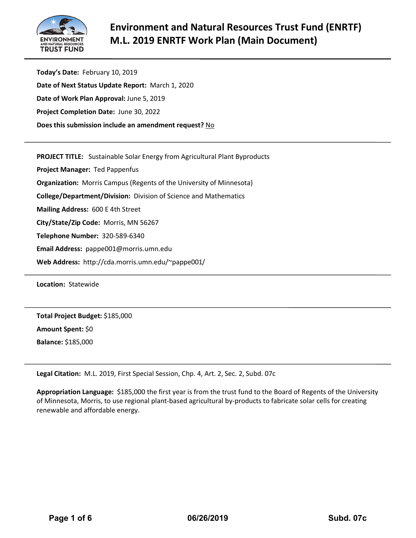

**Today's Date:** February 10, 2019 **Date of Next Status Update Report:** March 1, 2020 **Date of Work Plan Approval:** June 5, 2019 **Project Completion Date:** June 30, 2022 **Does this submission include an amendment request?** No

**PROJECT TITLE:** Sustainable Solar Energy from Agricultural Plant Byproducts

**Project Manager:** Ted Pappenfus

**Organization:** Morris Campus (Regents of the University of Minnesota)

**College/Department/Division:** Division of Science and Mathematics

**Mailing Address:** 600 E 4th Street

**City/State/Zip Code:** Morris, MN 56267

**Telephone Number:** 320-589-6340

**Email Address:** pappe001@morris.umn.edu

**Web Address:** http://cda.morris.umn.edu/~pappe001/

**Location:** Statewide

**Total Project Budget:** \$185,000

**Amount Spent:** \$0

**Balance:** \$185,000

**Legal Citation:** M.L. 2019, First Special Session, Chp. 4, Art. 2, Sec. 2, Subd. 07c

**Appropriation Language:** \$185,000 the first year is from the trust fund to the Board of Regents of the University of Minnesota, Morris, to use regional plant-based agricultural by-products to fabricate solar cells for creating renewable and affordable energy.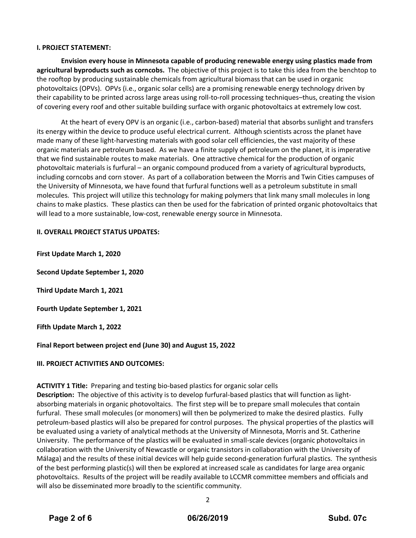#### **I. PROJECT STATEMENT:**

**Envision every house in Minnesota capable of producing renewable energy using plastics made from agricultural byproducts such as corncobs.** The objective of this project is to take this idea from the benchtop to the rooftop by producing sustainable chemicals from agricultural biomass that can be used in organic photovoltaics (OPVs). OPVs (i.e., organic solar cells) are a promising renewable energy technology driven by their capability to be printed across large areas using roll-to-roll processing techniques–thus, creating the vision of covering every roof and other suitable building surface with organic photovoltaics at extremely low cost.

At the heart of every OPV is an organic (i.e., carbon-based) material that absorbs sunlight and transfers its energy within the device to produce useful electrical current. Although scientists across the planet have made many of these light-harvesting materials with good solar cell efficiencies, the vast majority of these organic materials are petroleum based. As we have a finite supply of petroleum on the planet, it is imperative that we find sustainable routes to make materials. One attractive chemical for the production of organic photovoltaic materials is furfural – an organic compound produced from a variety of agricultural byproducts, including corncobs and corn stover. As part of a collaboration between the Morris and Twin Cities campuses of the University of Minnesota, we have found that furfural functions well as a petroleum substitute in small molecules. This project will utilize this technology for making polymers that link many small molecules in long chains to make plastics. These plastics can then be used for the fabrication of printed organic photovoltaics that will lead to a more sustainable, low-cost, renewable energy source in Minnesota.

#### **II. OVERALL PROJECT STATUS UPDATES:**

**First Update March 1, 2020**

**Second Update September 1, 2020**

**Third Update March 1, 2021**

**Fourth Update September 1, 2021** 

**Fifth Update March 1, 2022** 

**Final Report between project end (June 30) and August 15, 2022** 

# **III. PROJECT ACTIVITIES AND OUTCOMES:**

# **ACTIVITY 1 Title:** Preparing and testing bio-based plastics for organic solar cells

**Description:** The objective of this activity is to develop furfural-based plastics that will function as lightabsorbing materials in organic photovoltaics. The first step will be to prepare small molecules that contain furfural. These small molecules (or monomers) will then be polymerized to make the desired plastics. Fully petroleum-based plastics will also be prepared for control purposes. The physical properties of the plastics will be evaluated using a variety of analytical methods at the University of Minnesota, Morris and St. Catherine University. The performance of the plastics will be evaluated in small-scale devices (organic photovoltaics in collaboration with the University of Newcastle or organic transistors in collaboration with the University of Málaga) and the results of these initial devices will help guide second-generation furfural plastics. The synthesis of the best performing plastic(s) will then be explored at increased scale as candidates for large area organic photovoltaics. Results of the project will be readily available to LCCMR committee members and officials and will also be disseminated more broadly to the scientific community.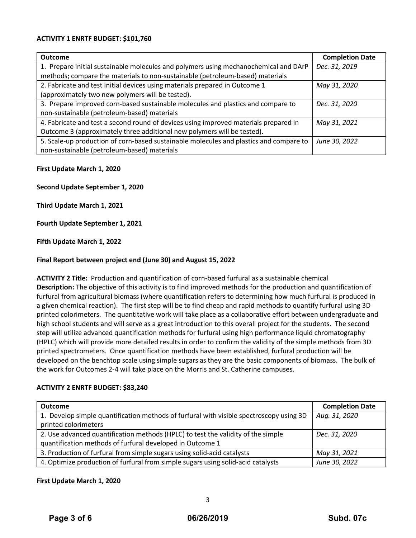#### **ACTIVITY 1 ENRTF BUDGET: \$101,760**

| Outcome                                                                                | <b>Completion Date</b> |
|----------------------------------------------------------------------------------------|------------------------|
| 1. Prepare initial sustainable molecules and polymers using mechanochemical and DArP   | Dec. 31, 2019          |
| methods; compare the materials to non-sustainable (petroleum-based) materials          |                        |
| 2. Fabricate and test initial devices using materials prepared in Outcome 1            | May 31, 2020           |
| (approximately two new polymers will be tested).                                       |                        |
| 3. Prepare improved corn-based sustainable molecules and plastics and compare to       | Dec. 31, 2020          |
| non-sustainable (petroleum-based) materials                                            |                        |
| 4. Fabricate and test a second round of devices using improved materials prepared in   | May 31, 2021           |
| Outcome 3 (approximately three additional new polymers will be tested).                |                        |
| 5. Scale-up production of corn-based sustainable molecules and plastics and compare to | June 30, 2022          |
| non-sustainable (petroleum-based) materials                                            |                        |

#### **First Update March 1, 2020**

**Second Update September 1, 2020**

**Third Update March 1, 2021**

**Fourth Update September 1, 2021**

**Fifth Update March 1, 2022**

#### **Final Report between project end (June 30) and August 15, 2022**

**ACTIVITY 2 Title:** Production and quantification of corn-based furfural as a sustainable chemical **Description:** The objective of this activity is to find improved methods for the production and quantification of furfural from agricultural biomass (where quantification refers to determining how much furfural is produced in a given chemical reaction). The first step will be to find cheap and rapid methods to quantify furfural using 3D printed colorimeters. The quantitative work will take place as a collaborative effort between undergraduate and high school students and will serve as a great introduction to this overall project for the students. The second step will utilize advanced quantification methods for furfural using high performance liquid chromatography (HPLC) which will provide more detailed results in order to confirm the validity of the simple methods from 3D printed spectrometers. Once quantification methods have been established, furfural production will be developed on the benchtop scale using simple sugars as they are the basic components of biomass. The bulk of the work for Outcomes 2-4 will take place on the Morris and St. Catherine campuses.

#### **ACTIVITY 2 ENRTF BUDGET: \$83,240**

| <b>Outcome</b>                                                                          | <b>Completion Date</b> |
|-----------------------------------------------------------------------------------------|------------------------|
| 1. Develop simple quantification methods of furfural with visible spectroscopy using 3D | Aug. 31, 2020          |
| printed colorimeters                                                                    |                        |
| 2. Use advanced quantification methods (HPLC) to test the validity of the simple        | Dec. 31, 2020          |
| quantification methods of furfural developed in Outcome 1                               |                        |
| 3. Production of furfural from simple sugars using solid-acid catalysts                 | May 31, 2021           |
| 4. Optimize production of furfural from simple sugars using solid-acid catalysts        | June 30, 2022          |

#### **First Update March 1, 2020**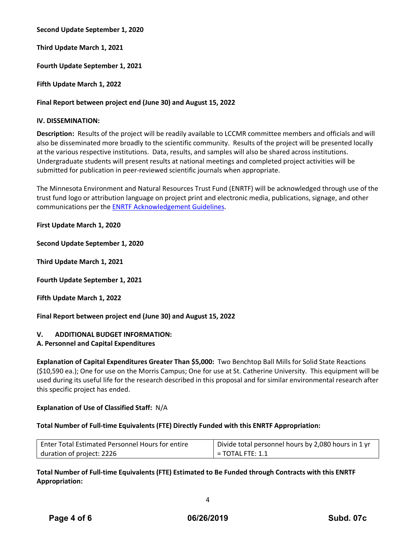**Second Update September 1, 2020**

**Third Update March 1, 2021**

**Fourth Update September 1, 2021**

**Fifth Update March 1, 2022**

# **Final Report between project end (June 30) and August 15, 2022**

# **IV. DISSEMINATION:**

**Description:** Results of the project will be readily available to LCCMR committee members and officials and will also be disseminated more broadly to the scientific community. Results of the project will be presented locally at the various respective institutions. Data, results, and samples will also be shared across institutions. Undergraduate students will present results at national meetings and completed project activities will be submitted for publication in peer-reviewed scientific journals when appropriate.

The Minnesota Environment and Natural Resources Trust Fund (ENRTF) will be acknowledged through use of the trust fund logo or attribution language on project print and electronic media, publications, signage, and other communications per the [ENRTF Acknowledgement Guidelines.](https://www.lccmr.leg.mn/pm_info/acknowledgement_guidelines.pdf)

**First Update March 1, 2020**

**Second Update September 1, 2020**

**Third Update March 1, 2021**

**Fourth Update September 1, 2021**

**Fifth Update March 1, 2022**

**Final Report between project end (June 30) and August 15, 2022**

# **V. ADDITIONAL BUDGET INFORMATION:**

# **A. Personnel and Capital Expenditures**

**Explanation of Capital Expenditures Greater Than \$5,000:** Two Benchtop Ball Mills for Solid State Reactions (\$10,590 ea.); One for use on the Morris Campus; One for use at St. Catherine University. This equipment will be used during its useful life for the research described in this proposal and for similar environmental research after this specific project has ended.

# **Explanation of Use of Classified Staff:** N/A

# **Total Number of Full-time Equivalents (FTE) Directly Funded with this ENRTF Appropriation:**

| Enter Total Estimated Personnel Hours for entire | Divide total personnel hours by 2,080 hours in 1 yr |  |  |  |  |
|--------------------------------------------------|-----------------------------------------------------|--|--|--|--|
| duration of project: 2226                        | $\mathsf{I}$ = TOTAL FTE: 1.1                       |  |  |  |  |

# **Total Number of Full-time Equivalents (FTE) Estimated to Be Funded through Contracts with this ENRTF Appropriation:**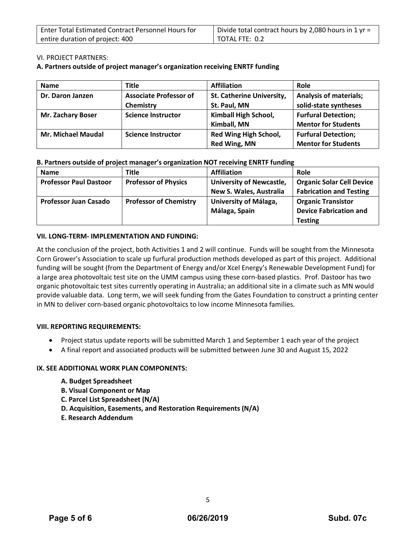| Enter Total Estimated Contract Personnel Hours for | Divide total contract hours by 2,080 hours in 1 yr = |  |  |  |  |
|----------------------------------------------------|------------------------------------------------------|--|--|--|--|
| entire duration of project: 400                    | $\vert$ TOTAL FTE: 0.2                               |  |  |  |  |

# VI. PROJECT PARTNERS:

#### **A. Partners outside of project manager's organization receiving ENRTF funding**

| <b>Name</b>               | <b>Title</b>                  | <b>Affiliation</b>           | Role                          |
|---------------------------|-------------------------------|------------------------------|-------------------------------|
| Dr. Daron Janzen          | <b>Associate Professor of</b> | St. Catherine University,    | <b>Analysis of materials;</b> |
|                           | Chemistry                     | St. Paul, MN                 | solid-state syntheses         |
| <b>Mr. Zachary Boser</b>  | <b>Science Instructor</b>     | Kimball High School,         | <b>Furfural Detection;</b>    |
|                           |                               | Kimball, MN                  | <b>Mentor for Students</b>    |
| <b>Mr. Michael Maudal</b> | <b>Science Instructor</b>     | <b>Red Wing High School,</b> | <b>Furfural Detection;</b>    |
|                           |                               | Red Wing, MN                 | <b>Mentor for Students</b>    |

#### **B. Partners outside of project manager's organization NOT receiving ENRTF funding**

| <b>Name</b>                   | <b>Title</b>                  | <b>Affiliation</b>              | Role                             |
|-------------------------------|-------------------------------|---------------------------------|----------------------------------|
| <b>Professor Paul Dastoor</b> | <b>Professor of Physics</b>   | <b>University of Newcastle,</b> | <b>Organic Solar Cell Device</b> |
|                               |                               | New S. Wales, Australia         | <b>Fabrication and Testing</b>   |
| <b>Professor Juan Casado</b>  | <b>Professor of Chemistry</b> | University of Málaga,           | <b>Organic Transistor</b>        |
|                               |                               | Málaga, Spain                   | <b>Device Fabrication and</b>    |
|                               |                               |                                 | <b>Testing</b>                   |

#### **VII. LONG-TERM- IMPLEMENTATION AND FUNDING:**

At the conclusion of the project, both Activities 1 and 2 will continue. Funds will be sought from the Minnesota Corn Grower's Association to scale up furfural production methods developed as part of this project. Additional funding will be sought (from the Department of Energy and/or Xcel Energy's Renewable Development Fund) for a large area photovoltaic test site on the UMM campus using these corn-based plastics. Prof. Dastoor has two organic photovoltaic test sites currently operating in Australia; an additional site in a climate such as MN would provide valuable data. Long term, we will seek funding from the Gates Foundation to construct a printing center in MN to deliver corn-based organic photovoltaics to low income Minnesota families.

# **VIII. REPORTING REQUIREMENTS:**

- Project status update reports will be submitted March 1 and September 1 each year of the project
- A final report and associated products will be submitted between June 30 and August 15, 2022

# **IX. SEE ADDITIONAL WORK PLAN COMPONENTS:**

- **A. Budget Spreadsheet**
- **B. Visual Component or Map**
- **C. Parcel List Spreadsheet (N/A)**
- **D. Acquisition, Easements, and Restoration Requirements (N/A)**
- **E. Research Addendum**

5